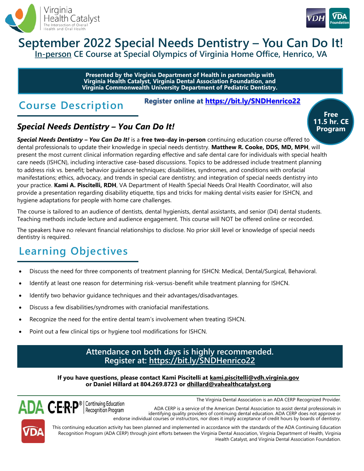



### **September 2022 Special Needs Dentistry – You Can Do It! In-person CE Course at Special Olympics of Virginia Home Office, Henrico, VA**

**Presented by the Virginia Department of Health in partnership with Virginia Health Catalyst, Virginia Dental Association Foundation, and Virginia Commonwealth University Department of Pediatric Dentistry.**

## **Course Description**

**Register online at<https://bit.ly/SNDHenrico22>**

## *Special Needs Dentistry – You Can Do It!*

*Special Needs Dentistry – You Can Do It!* is a **free two-day in-person** continuing education course offered to dental professionals to update their knowledge in special needs dentistry. **Matthew R. Cooke, DDS, MD, MPH**, will present the most current clinical information regarding effective and safe dental care for individuals with special health care needs (ISHCN), including interactive case-based discussions. Topics to be addressed include treatment planning to address risk vs. benefit; behavior guidance techniques; disabilities, syndromes, and conditions with orofacial manifestations; ethics, advocacy, and trends in special care dentistry; and integration of special needs dentistry into your practice. **Kami A. Piscitelli, RDH**, VA Department of Health Special Needs Oral Health Coordinator, will also provide a presentation regarding disability etiquette, tips and tricks for making dental visits easier for ISHCN, and hygiene adaptations for people with home care challenges.

The course is tailored to an audience of dentists, dental hygienists, dental assistants, and senior (D4) dental students. Teaching methods include lecture and audience engagement. This course will NOT be offered online or recorded.

The speakers have no relevant financial relationships to disclose. No prior skill level or knowledge of special needs dentistry is required.

# **Learning Objectives**

- Discuss the need for three components of treatment planning for ISHCN: Medical, Dental/Surgical, Behavioral.
- Identify at least one reason for determining risk-versus-benefit while treatment planning for ISHCN.
- Identify two behavior guidance techniques and their advantages/disadvantages.
- Discuss a few disabilities/syndromes with craniofacial manifestations.
- Recognize the need for the entire dental team's involvement when treating ISHCN.
- Point out a few clinical tips or hygiene tool modifications for ISHCN.

### **Attendance on both days is highly recommended. Register at: <https://bit.ly/SNDHenrico22>**

**If you have questions, please contact Kami Piscitelli at kami.piscitelli@vdh.virginia.gov or Daniel Hillard at 804.269.8723 or dhillard@vahealthcatalyst.org**



The Virginia Dental Association is an ADA CERP Recognized Provider.

ADA CERP is a service of the American Dental Association to assist dental professionals in identifying quality providers of continuing dental education. ADA CERP does not approve or endorse individual courses or instructors, nor does it imply acceptance of credit hours by boards of dentistry.

This continuing education activity has been planned and implemented in accordance with the standards of the ADA Continuing Education Recognition Program (ADA CERP) through joint efforts between the Virginia Dental Association, Virginia Department of Health, Virginia Health Catalyst, and Virginia Dental Association Foundation.

**Free 11.5 hr. CE Program**